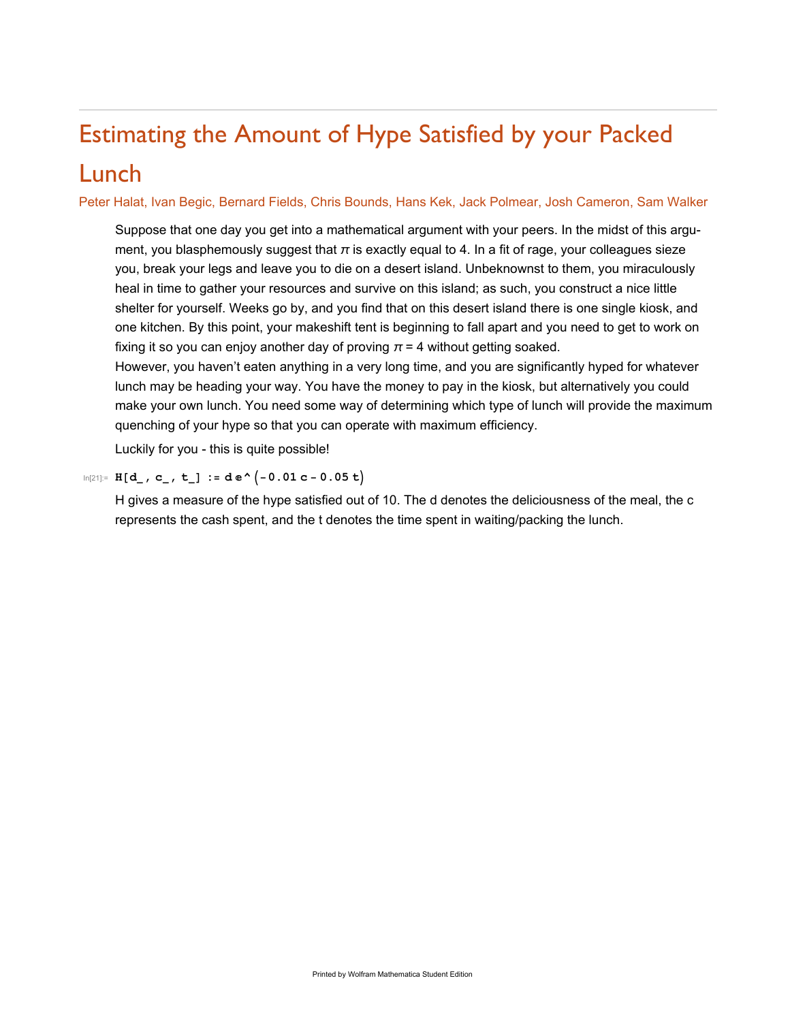## Estimating the Amount of Hype Satisfied by your Packed

## Lunch

Peter Halat, Ivan Begic, Bernard Fields, Chris Bounds, Hans Kek, Jack Polmear, Josh Cameron, Sam Walker

Suppose that one day you get into a mathematical argument with your peers. In the midst of this argument, you blasphemously suggest that  $\pi$  is exactly equal to 4. In a fit of rage, your colleagues sieze you, break your legs and leave you to die on a desert island. Unbeknownst to them, you miraculously heal in time to gather your resources and survive on this island; as such, you construct a nice little shelter for yourself. Weeks go by, and you find that on this desert island there is one single kiosk, and one kitchen. By this point, your makeshift tent is beginning to fall apart and you need to get to work on fixing it so you can enjoy another day of proving  $\pi$  = 4 without getting soaked.

However, you haven't eaten anything in a very long time, and you are significantly hyped for whatever lunch may be heading your way. You have the money to pay in the kiosk, but alternatively you could make your own lunch. You need some way of determining which type of lunch will provide the maximum quenching of your hype so that you can operate with maximum efficiency.

Luckily for you - this is quite possible!

## In[21]:= **H[d\_, c\_, t\_] := d ⅇ^-0.01 c - 0.05 t**

H gives a measure of the hype satisfied out of 10. The d denotes the deliciousness of the meal, the c represents the cash spent, and the t denotes the time spent in waiting/packing the lunch.